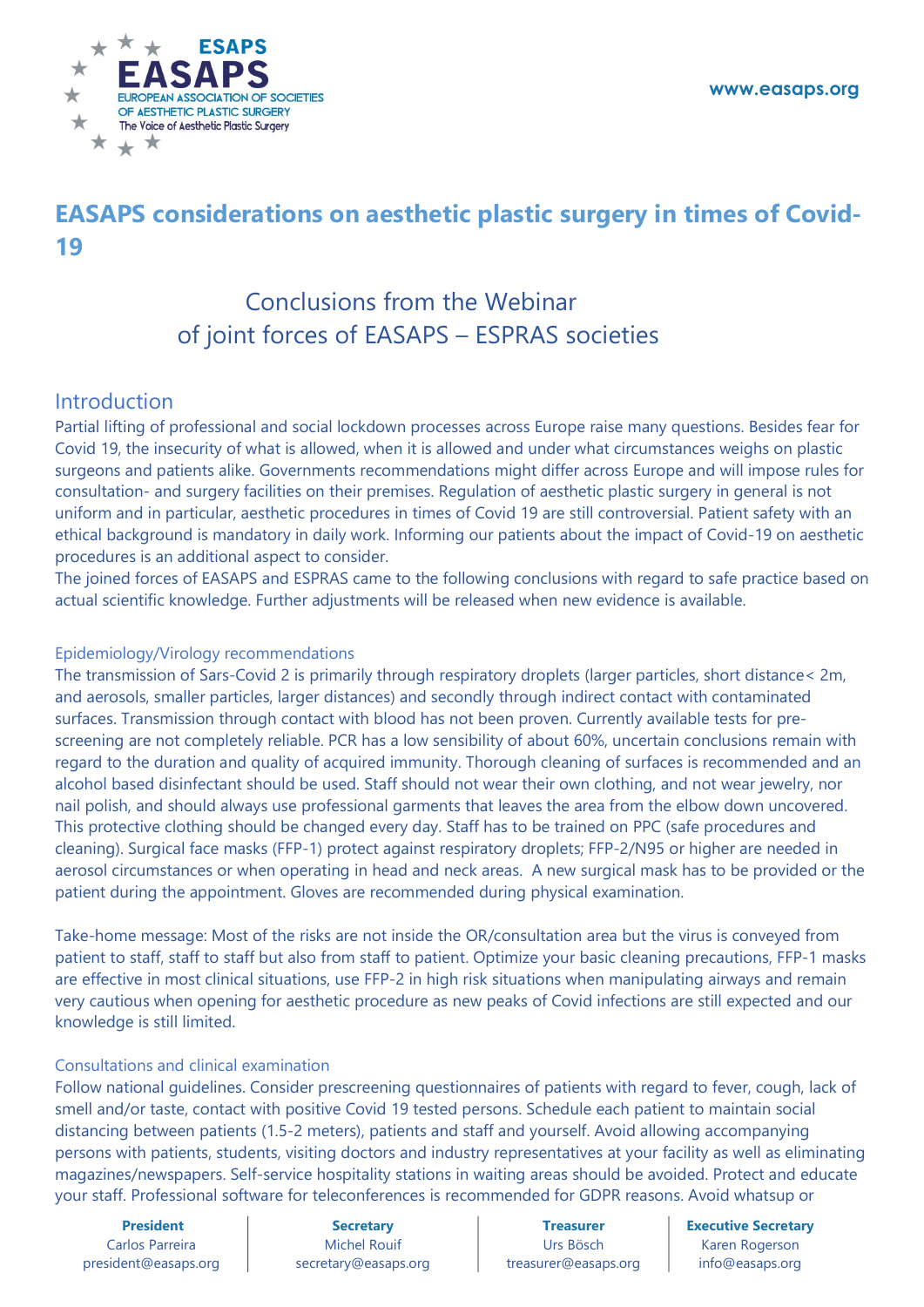www.easaps.org



# EASAPS considerations on aesthetic plastic surgery in times of Covid-19

## Conclusions from the Webinar of joint forces of EASAPS – ESPRAS societies

### Introduction

Partial lifting of professional and social lockdown processes across Europe raise many questions. Besides fear for Covid 19, the insecurity of what is allowed, when it is allowed and under what circumstances weighs on plastic surgeons and patients alike. Governments recommendations might differ across Europe and will impose rules for consultation- and surgery facilities on their premises. Regulation of aesthetic plastic surgery in general is not uniform and in particular, aesthetic procedures in times of Covid 19 are still controversial. Patient safety with an ethical background is mandatory in daily work. Informing our patients about the impact of Covid-19 on aesthetic procedures is an additional aspect to consider.

The joined forces of EASAPS and ESPRAS came to the following conclusions with regard to safe practice based on actual scientific knowledge. Further adjustments will be released when new evidence is available.

### Epidemiology/Virology recommendations

The transmission of Sars-Covid 2 is primarily through respiratory droplets (larger particles, short distance< 2m, and aerosols, smaller particles, larger distances) and secondly through indirect contact with contaminated surfaces. Transmission through contact with blood has not been proven. Currently available tests for prescreening are not completely reliable. PCR has a low sensibility of about 60%, uncertain conclusions remain with regard to the duration and quality of acquired immunity. Thorough cleaning of surfaces is recommended and an alcohol based disinfectant should be used. Staff should not wear their own clothing, and not wear jewelry, nor nail polish, and should always use professional garments that leaves the area from the elbow down uncovered. This protective clothing should be changed every day. Staff has to be trained on PPC (safe procedures and cleaning). Surgical face masks (FFP-1) protect against respiratory droplets; FFP-2/N95 or higher are needed in aerosol circumstances or when operating in head and neck areas. A new surgical mask has to be provided or the patient during the appointment. Gloves are recommended during physical examination.

Take-home message: Most of the risks are not inside the OR/consultation area but the virus is conveyed from patient to staff, staff to staff but also from staff to patient. Optimize your basic cleaning precautions, FFP-1 masks are effective in most clinical situations, use FFP-2 in high risk situations when manipulating airways and remain very cautious when opening for aesthetic procedure as new peaks of Covid infections are still expected and our knowledge is still limited.

#### Consultations and clinical examination

Follow national guidelines. Consider prescreening questionnaires of patients with regard to fever, cough, lack of smell and/or taste, contact with positive Covid 19 tested persons. Schedule each patient to maintain social distancing between patients (1.5-2 meters), patients and staff and yourself. Avoid allowing accompanying persons with patients, students, visiting doctors and industry representatives at your facility as well as eliminating magazines/newspapers. Self-service hospitality stations in waiting areas should be avoided. Protect and educate your staff. Professional software for teleconferences is recommended for GDPR reasons. Avoid whatsup or

President Carlos Parreira president@easaps.org

**Secretary** Michel Rouif secretary@easaps.org

Treasurer Urs Bösch treasurer@easaps.org Executive Secretary Karen Rogerson info@easaps.org